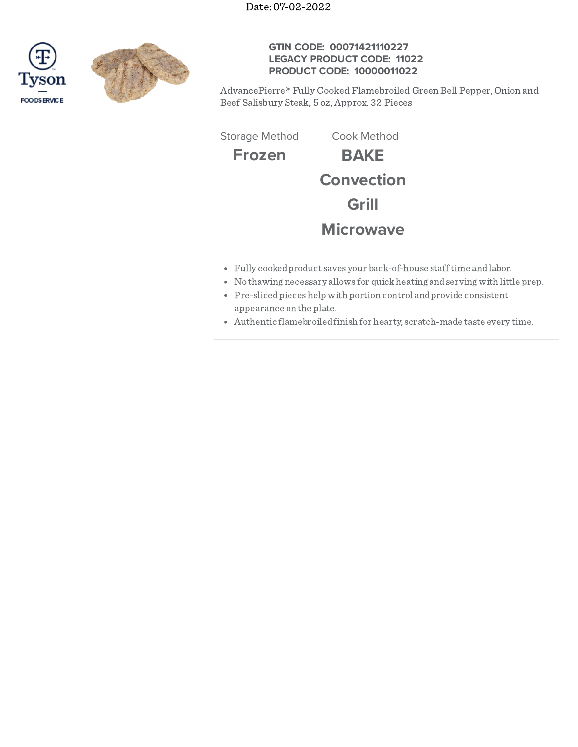Date: 07-02-2022





## **GTIN CODE: 00071421110227 LEGACY PRODUCT CODE: 11022 PRODUCT CODE: 10000011022**

AdvancePierre® Fully Cooked Flamebroiled Green Bell Pepper, Onion and Beef Salisbury Steak, 5 oz, Approx. 32 Pieces

Storage Method Cook Method

**Frozen BAKE Convection Grill Microwave**

- Fully cookedproduct saves your back-of-house stafftime andlabor.
- No thawing necessary allows for quickheating andserving with little prep.
- Pre-slicedpieceshelp with portion control andprovide consistent appearance on the plate.
- Authentic flamebroiledfinish for hearty, scratch-made taste every time.